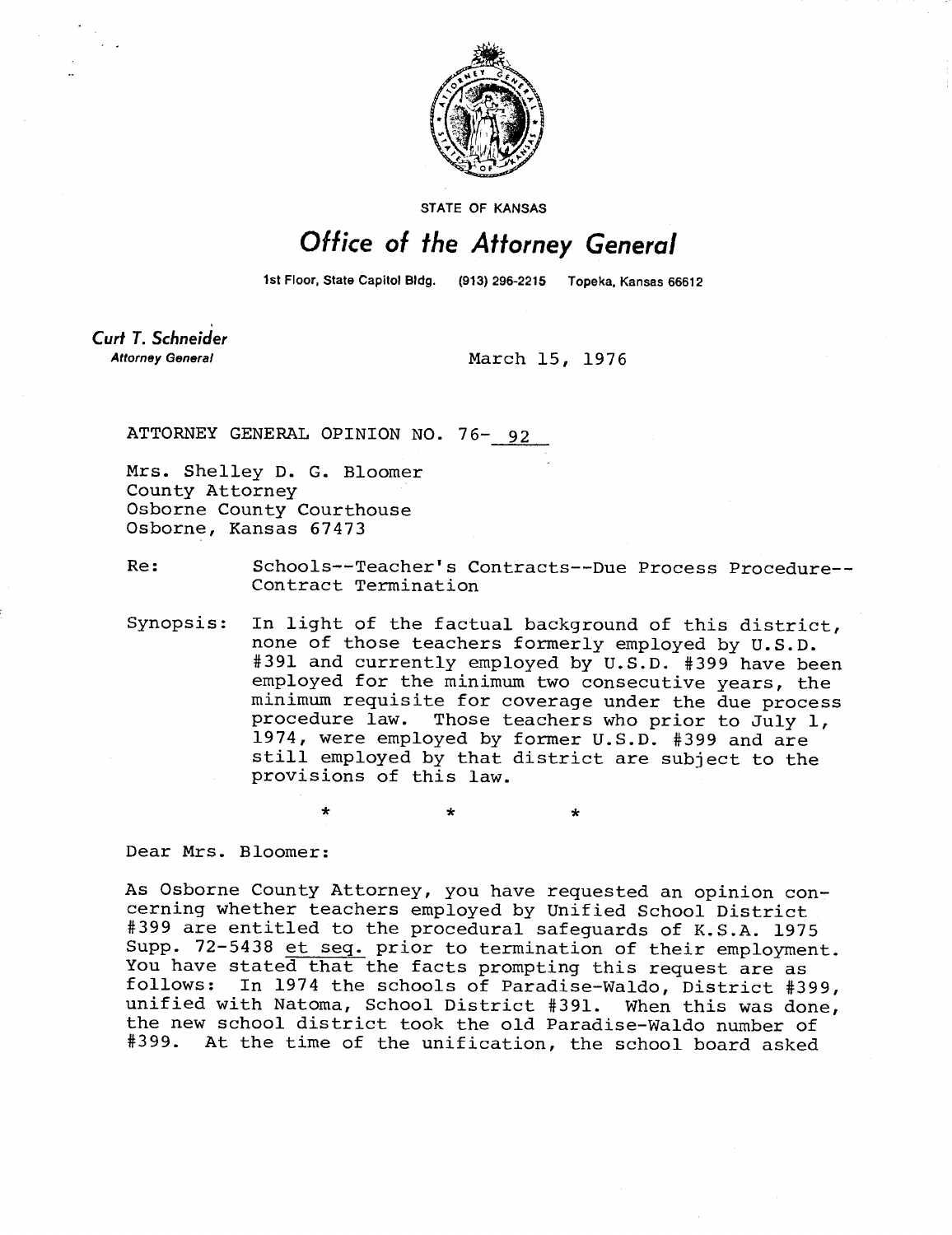

STATE OF KANSAS

## Office of the Attorney General

1st Floor, State Capitol Bldg. (913) 296-2215 Topeka, Kansas 66612

Curt T. Schneider **Attorney General** 

March 15, 1976

ATTORNEY GENERAL OPINION NO. 76- 92

4

Mrs. Shelley D. G. Bloomer County Attorney Osborne County Courthouse Osborne, Kansas 67473

Re: Schools--Teacher's Contracts--Due Process Procedure-- Contract Termination

Synopsis: In light of the factual background of this district, none of those teachers formerly employed by U.S.D. #391 and currently employed by U.S.D. #399 have been employed for the minimum two consecutive years, the minimum requisite for coverage under the due process procedure law. Those teachers who prior to July 1, 1974, were employed by former U.S.D. #399 and are still employed by that district are subject to the provisions of this law.

Dear Mrs. Bloomer:

As Osborne County Attorney, you have requested an opinion concerning whether teachers employed by Unified School District #399 are entitled to the procedural safeguards of K.S.A. 1975 Supp. 72-5438 et seq. prior to termination of their employment. You have stated that the facts prompting this request are as follows: In 1974 the schools of Paradise-Waldo, District #399, unified with Natoma, School District #391. When this was done, the new school district took the old Paradise-Waldo number of #399. At the time of the unification, the school board asked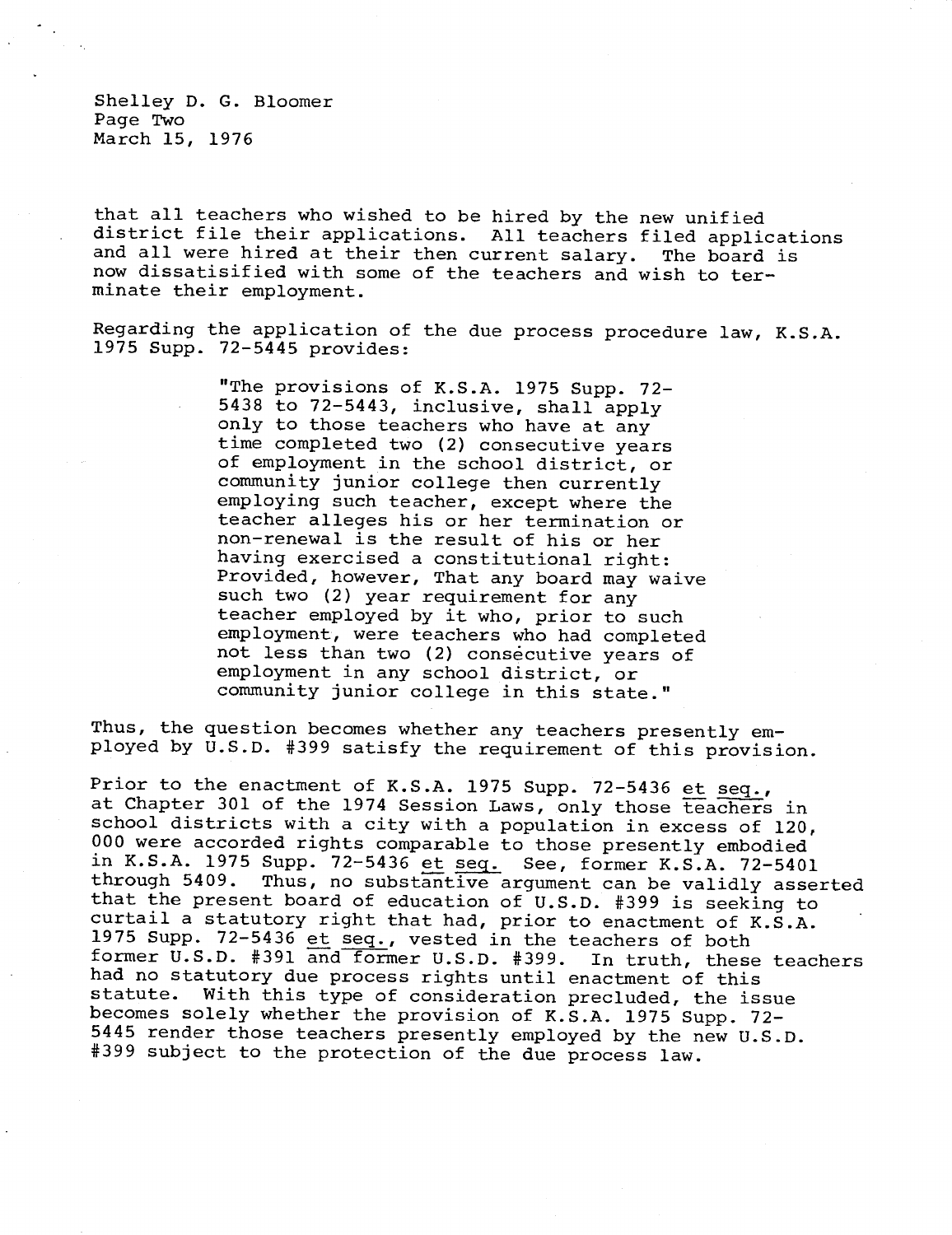Shelley D. G. Bloomer Page Two March 15, 1976

that all teachers who wished to be hired by the new unified district file their applications. All teachers filed applications and all were hired at their then current salary. The board is now dissatisified with some of the teachers and wish to terminate their employment.

Regarding the application of the due process procedure law, K.S.A. 1975 Supp. 72-5445 provides:

> "The provisions of K.S.A. 1975 Supp. 72- 5438 to 72-5443, inclusive, shall apply only to those teachers who have at any time completed two (2) consecutive years of employment in the school district, or community junior college then currently employing such teacher, except where the teacher alleges his or her termination or non-renewal is the result of his or her having exercised a constitutional right: Provided, however, That any board may waive such two (2) year requirement for any teacher employed by it who, prior to such employment, were teachers who had completed not less than two (2) consecutive years of employment in any school district, or community junior college in this state."

Thus, the question becomes whether any teachers presently employed by U.S.D. #399 satisfy the requirement of this provision.

Prior to the enactment of K.S.A. 1975 Supp. 72-5436 et seq., at Chapter 301 of the 1974 Session Laws, only those teachers in school districts with a city with a population in excess of 120, 000 were accorded rights comparable to those presently embodied in K.S.A. 1975 Supp. 72-5436 et seq. See, former K.S.A. 72-5401 through 5409. Thus, no substantive argument can be validly asserted that the present board of education of U.S.D. #399 is seeking to curtail a statutory right that had, prior to enactment of K.S.A. 1975 Supp. 72-5436 et seq., vested in the teachers of both former U.S.D. #391 and former U.S.D. #399. In truth, these teachers had no statutory due process rights until enactment of this<br>statute. With this type of consideration precluded, the is With this type of consideration precluded, the issue becomes solely whether the provision of K.S.A. 1975 Supp. 72- 5445 render those teachers presently employed by the new U.S.D. #399 subject to the protection of the due process law.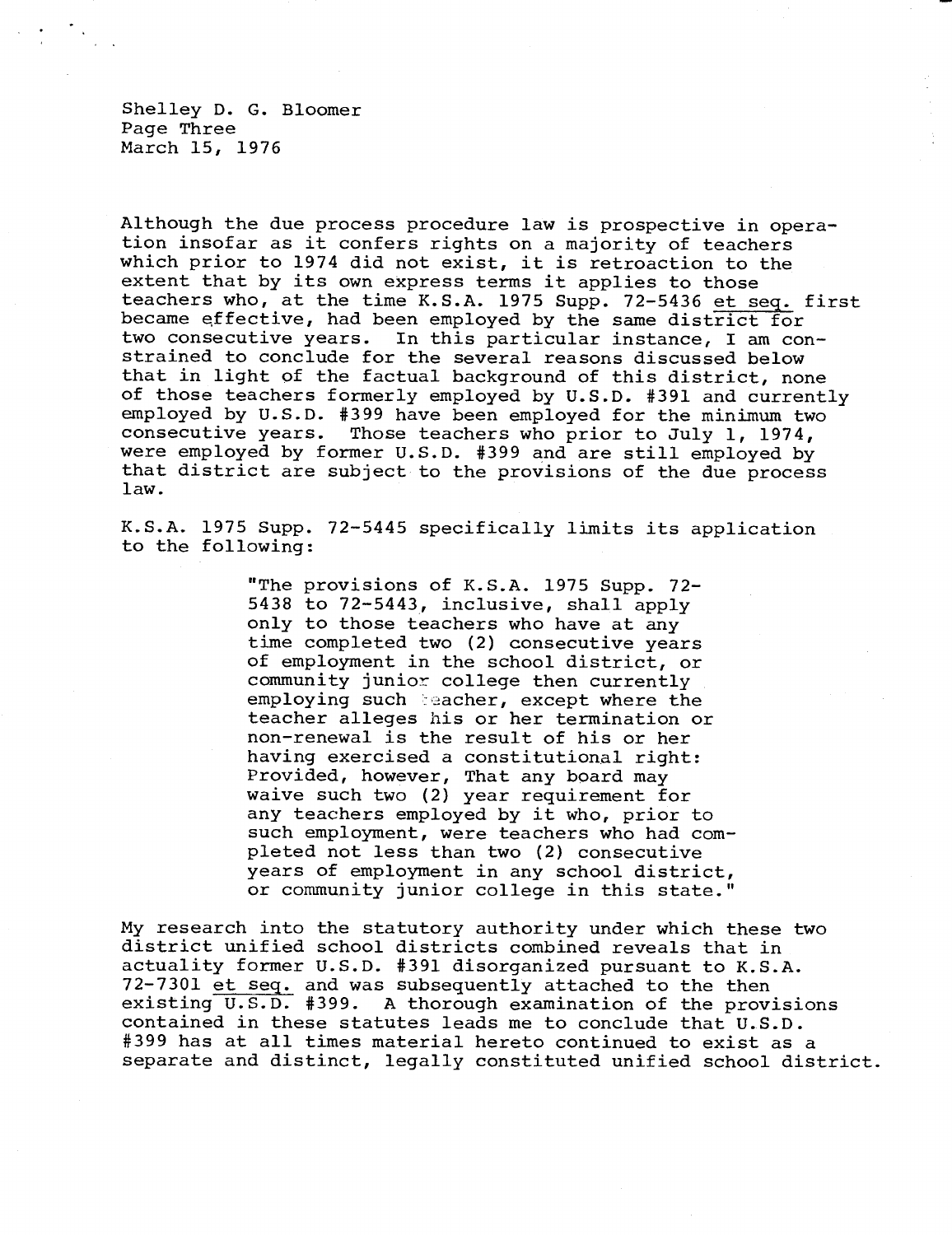Shelley D. G. Bloomer Page Three March 15, 1976

Although the due process procedure law is prospective in operation insofar as it confers rights on a majority of teachers which prior to 1974 did not exist, it is retroaction to the extent that by its own express terms it applies to those teachers who, at the time K.S.A. 1975 Supp. 72-5436 et seq. first became effective, had been employed by the same district for two consecutive years. In this particular instance, I am constrained to conclude for the several reasons discussed below that in light of the factual background of this district, none of those teachers formerly employed by U.S.D. #391 and currently employed by U.S.D. #399 have been employed for the minimum two consecutive years. Those teachers who prior to July 1, 1974, were employed by former U.S.D. #399 and are still employed by that district are subject to the provisions of the due process law.

K.S.A. 1975 Supp. 72-5445 specifically limits its application to the following:

> "The provisions of K.S.A. 1975 Supp. 72- 5438 to 72-5443, inclusive, shall apply only to those teachers who have at any time completed two (2) consecutive years of employment in the school district, or community junior college then currently employing such teacher, except where the teacher alleges his or her termination or non-renewal is the result of his or her having exercised a constitutional right: Provided, however, That any board may waive such two (2) year requirement for any teachers employed by it who, prior to such employment, were teachers who had completed not less than two (2) consecutive years of employment in any school district, or community junior college in this state."

My research into the statutory authority under which these two district unified school districts combined reveals that in actuality former U.S.D. #391 disorganized pursuant to K.S.A. 72-7301 et seq. and was subsequently attached to the then existing U.S.D. #399. A thorough examination of the provisions contained in these statutes leads me to conclude that U.S.D. #399 has at all times material hereto continued to exist as a separate and distinct, legally constituted unified school district.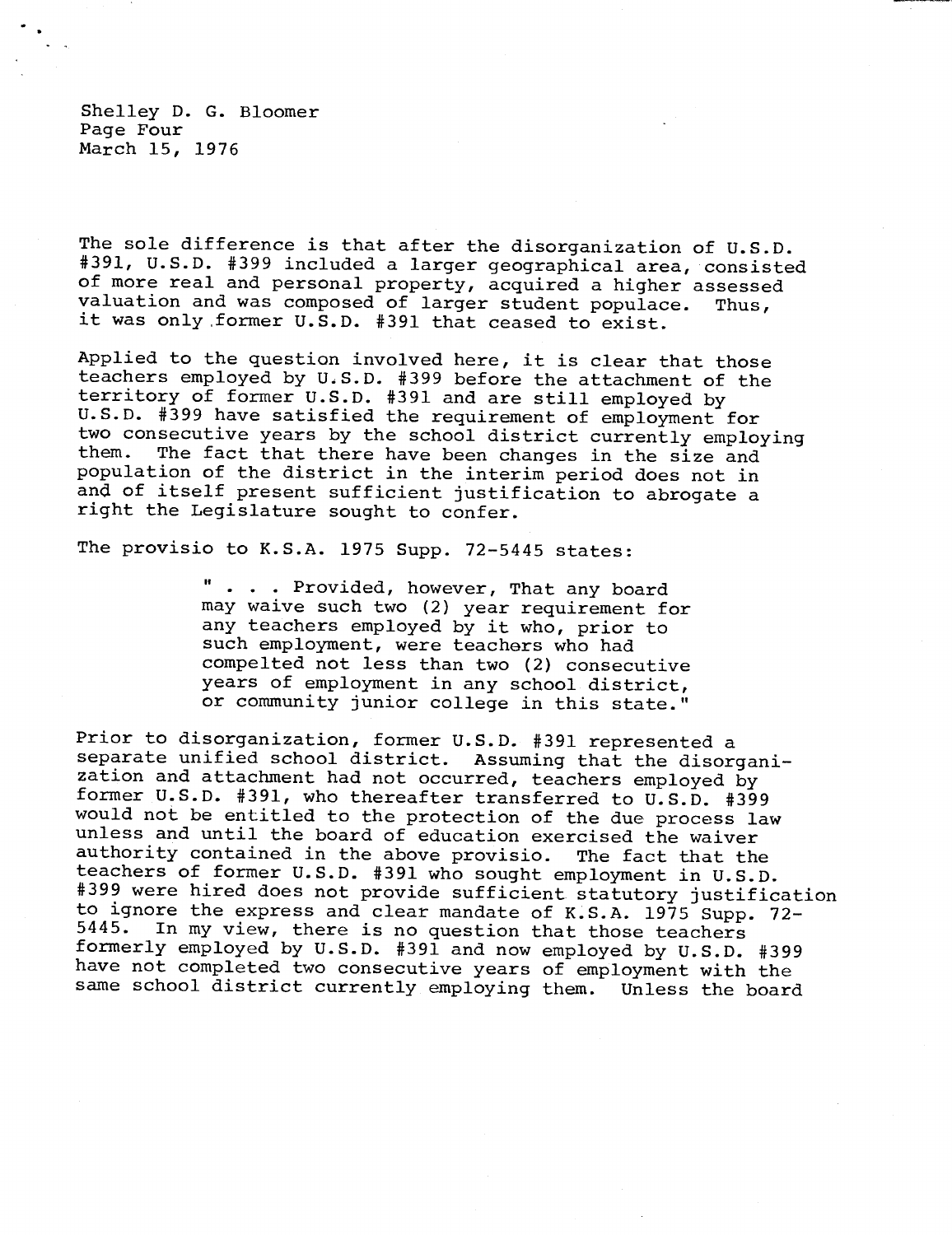Shelley D. G. Bloomer Page Four March 15, 1976

The sole difference is that after the disorganization of U.S.D. #391, U.S.D. #399 included a larger geographical area, consisted of more real and personal property, acquired a higher assessed valuation and was composed of larger student populace. Thus, it was only former U.S.D. #391 that ceased to exist.

Applied to the question involved here, it is clear that those teachers employed by U.S.D. #399 before the attachment of the territory of former U.S.D. #391 and are still employed by U.S.D. #399 have satisfied the requirement of employment for two consecutive years by the school district currently employing<br>them. The fact that there have been changes in the size and The fact that there have been changes in the size and population of the district in the interim period does not in and of itself present sufficient justification to abrogate a right the Legislature sought to confer.

The provisio to K.S.A. 1975 Supp. 72-5445 states:

. . . Provided, however, That any board may waive such two (2) year requirement for any teachers employed by it who, prior to such employment, were teachers who had compelted not less than two (2) consecutive years of employment in any school district, or community junior college in this state."

Prior to disorganization, former U.S.D. #391 represented a separate unified school district. Assuming that the disorganization and attachment had not occurred, teachers employed by former U.S.D. #391, who thereafter transferred to U.S.D. #399 would not be entitled to the protection of the due process law unless and until the board of education exercised the waiver authority contained in the above provisio. The fact that the teachers of former U.S.D. #391 who sought employment in U.S.D. #399 were hired does not provide sufficient statutory justification to ignore the express and clear mandate of K.S.A. 1975 Supp. 72- In my view, there is no question that those teachers formerly employed by U.S.D. #391 and now employed by U.S.D. #399 have not completed two consecutive years of employment with the same school district currently employing them. Unless the board